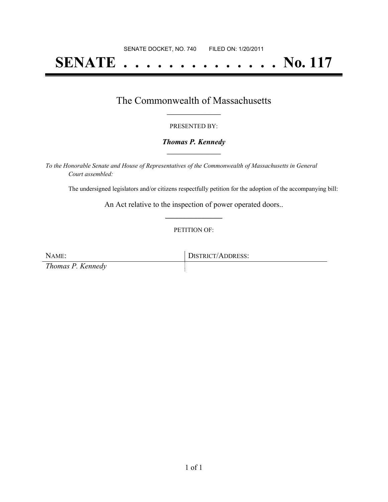# **SENATE . . . . . . . . . . . . . . No. 117**

### The Commonwealth of Massachusetts **\_\_\_\_\_\_\_\_\_\_\_\_\_\_\_\_\_**

#### PRESENTED BY:

#### *Thomas P. Kennedy* **\_\_\_\_\_\_\_\_\_\_\_\_\_\_\_\_\_**

*To the Honorable Senate and House of Representatives of the Commonwealth of Massachusetts in General Court assembled:*

The undersigned legislators and/or citizens respectfully petition for the adoption of the accompanying bill:

An Act relative to the inspection of power operated doors.. **\_\_\_\_\_\_\_\_\_\_\_\_\_\_\_**

#### PETITION OF:

NAME: DISTRICT/ADDRESS: *Thomas P. Kennedy*